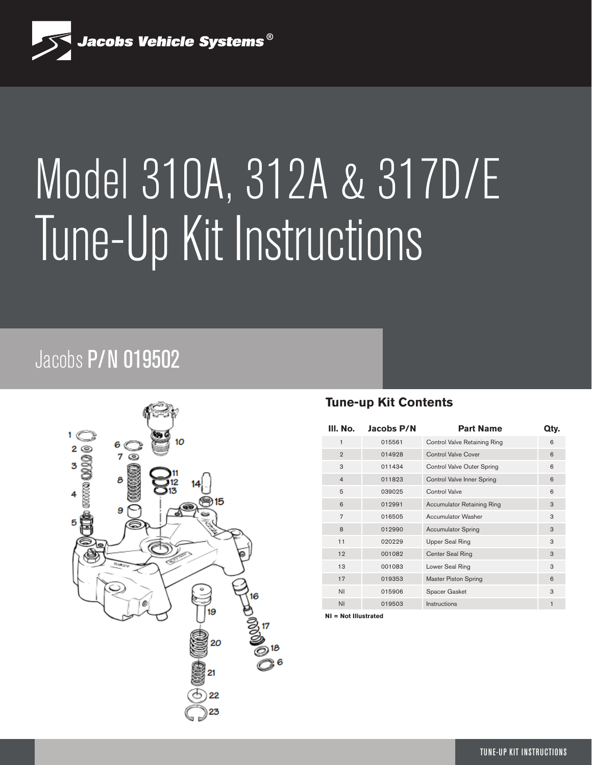

# Model 310A, 312A & 317D/E Tune-Up Kit Instructions

## Jacobs P/N 019502



#### **Tune-up Kit Contents**

| III. No.       | Jacobs P/N | <b>Part Name</b>                  | Qty. |
|----------------|------------|-----------------------------------|------|
| $\mathbf{1}$   | 015561     | Control Valve Retaining Ring      | 6    |
| $\overline{2}$ | 014928     | <b>Control Valve Cover</b>        | 6    |
| 3              | 011434     | Control Valve Outer Spring        | 6    |
| $\overline{4}$ | 011823     | Control Valve Inner Spring        | 6    |
| 5              | 039025     | Control Valve                     | 6    |
| 6              | 012991     | <b>Accumulator Retaining Ring</b> | 3    |
| $\overline{7}$ | 016505     | Accumulator Washer                | 3    |
| 8              | 012990     | <b>Accumulator Spring</b>         | 3    |
| 11             | 020229     | Upper Seal Ring                   | 3    |
| 12             | 001082     | Center Seal Ring                  | 3    |
| 13             | 001083     | Lower Seal Ring                   | 3    |
| 17             | 019353     | <b>Master Piston Spring</b>       | 6    |
| ΝI.            | 015906     | Spacer Gasket                     | 3    |
| <b>NI</b>      | 019503     | Instructions                      | 1    |

**NI = Not Illustrated**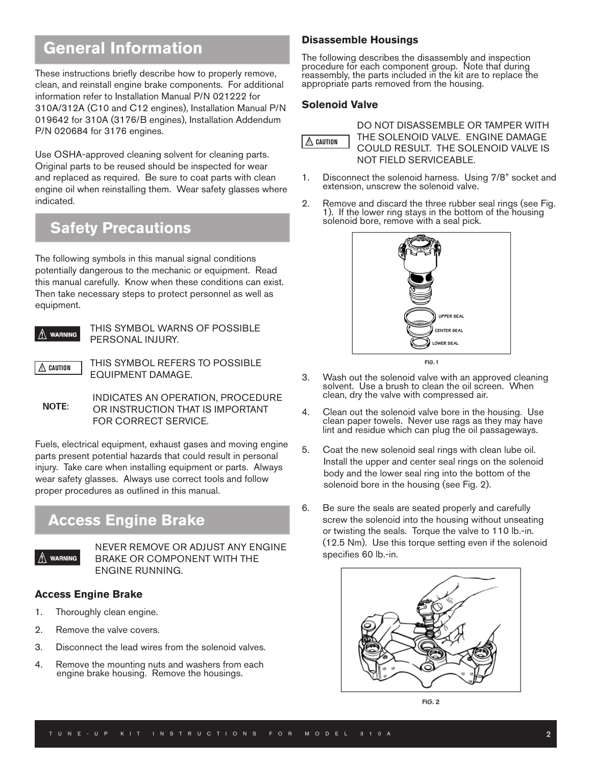## **General Information**

These instructions briefly describe how to properly remove, clean, and reinstall engine brake components. For additional information refer to Installation Manual P/N 021222 for 310A/312A (C10 and C12 engines), Installation Manual P/N 019642 for 310A (3176/B engines), Installation Addendum P/N 020684 for 3176 engines.

Use OSHA-approved cleaning solvent for cleaning parts. Original parts to be reused should be inspected for wear and replaced as required. Be sure to coat parts with clean engine oil when reinstalling them. Wear safety glasses where indicated.

### **Safety Precautions**

The following symbols in this manual signal conditions potentially dangerous to the mechanic or equipment. Read this manual carefully. Know when these conditions can exist. Then take necessary steps to protect personnel as well as equipment.



**WARNING** THIS SYMBOL WARNS OF POSSIBLE PERSONAL INJURY.

 $\Lambda$  caution

 THIS SYMBOL REFERS TO POSSIBLE EQUIPMENT DAMAGE.

INDICATES AN OPERATION, PROCEDURE OR INSTRUCTION THAT IS IMPORTANT FOR CORRECT SERVICE.

Fuels, electrical equipment, exhaust gases and moving engine parts present potential hazards that could result in personal injury. Take care when installing equipment or parts. Always wear safety glasses. Always use correct tools and follow proper procedures as outlined in this manual.

## **Access Engine Brake**



 NEVER REMOVE OR ADJUST ANY ENGINE BRAKE OR COMPONENT WITH THE ENGINE RUNNING.

#### **Access Engine Brake**

- 1. Thoroughly clean engine.
- 2. Remove the valve covers.
- 3. Disconnect the lead wires from the solenoid valves.
- 4. Remove the mounting nuts and washers from each engine brake housing. Remove the housings.

#### **Disassemble Housings**

The following describes the disassembly and inspection procedure for each component group. Note that during reassembly, the parts included in the kit are to replace the appropriate parts removed from the housing.

#### **Solenoid Valve**



DO NOT DISASSEMBLE OR TAMPER WITH THE SOLENOID VALVE. ENGINE DAMAGE COULD RESULT. THE SOLENOID VALVE IS NOT FIELD SERVICEABLE.

- 1. Disconnect the solenoid harness. Using 7/8" socket and extension, unscrew the solenoid valve.
- 2. Remove and discard the three rubber seal rings (see Fig. 1). If the lower ring stays in the bottom of the housing solenoid bore, remove with a seal pick.



- 3. Wash out the solenoid valve with an approved cleaning solvent. Use a brush to clean the oil screen. When clean, dry the valve with compressed air.
- 4. Clean out the solenoid valve bore in the housing. Use clean paper towels. Never use rags as they may have lint and residue which can plug the oil passageways.
- 5. Coat the new solenoid seal rings with clean lube oil. Install the upper and center seal rings on the solenoid body and the lower seal ring into the bottom of the solenoid bore in the housing (see Fig. 2).
- 6. Be sure the seals are seated properly and carefully screw the solenoid into the housing without unseating or twisting the seals. Torque the valve to 110 lb.-in. (12.5 Nm). Use this torque setting even if the solenoid specifies 60 lb.-in.



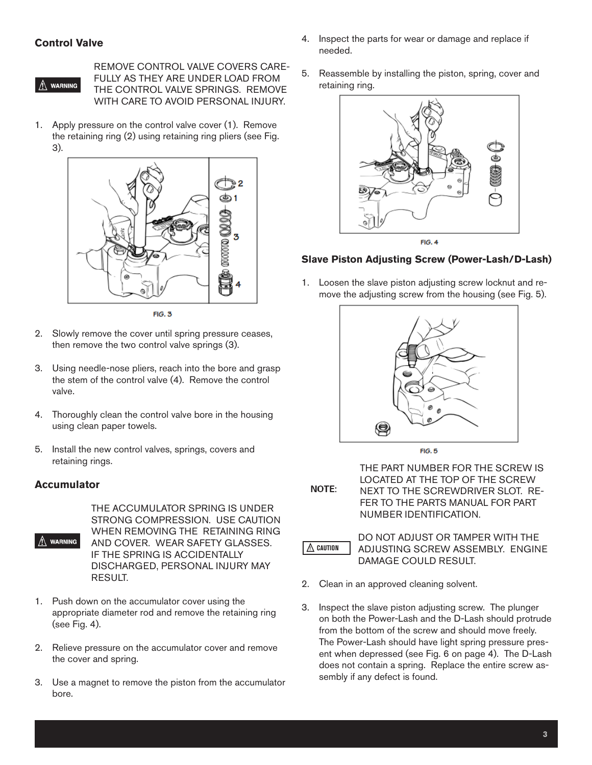#### **Control Valve**



REMOVE CONTROL VALVE COVERS CARE-FULLY AS THEY ARE UNDER LOAD FROM THE CONTROL VALVE SPRINGS. REMOVE WITH CARE TO AVOID PERSONAL INJURY.

1. Apply pressure on the control valve cover (1). Remove the retaining ring (2) using retaining ring pliers (see Fig. 3).



 $FIG. 3$ 

- 2. Slowly remove the cover until spring pressure ceases, then remove the two control valve springs (3).
- 3. Using needle-nose pliers, reach into the bore and grasp the stem of the control valve (4). Remove the control valve.
- 4. Thoroughly clean the control valve bore in the housing using clean paper towels.
- 5. Install the new control valves, springs, covers and retaining rings.

#### **Accumulator**



THE ACCUMULATOR SPRING IS UNDER STRONG COMPRESSION. USE CAUTION WHEN REMOVING THE RETAINING RING AND COVER. WEAR SAFETY GLASSES. IF THE SPRING IS ACCIDENTALLY DISCHARGED, PERSONAL INJURY MAY RESULT.

- 1. Push down on the accumulator cover using the appropriate diameter rod and remove the retaining ring (see Fig. 4).
- 2. Relieve pressure on the accumulator cover and remove the cover and spring.
- 3. Use a magnet to remove the piston from the accumulator bore.
- 4. Inspect the parts for wear or damage and replace if needed.
- 5. Reassemble by installing the piston, spring, cover and retaining ring.





#### **Slave Piston Adjusting Screw (Power-Lash/D-Lash)**

1. Loosen the slave piston adjusting screw locknut and remove the adjusting screw from the housing (see Fig. 5).



 $FIG. 5$ 

**NOTE:** 

THE PART NUMBER FOR THE SCREW IS LOCATED AT THE TOP OF THE SCREW NEXT TO THE SCREWDRIVER SLOT. RE-FER TO THE PARTS MANUAL FOR PART NUMBER IDENTIFICATION.



DO NOT ADJUST OR TAMPER WITH THE ADJUSTING SCREW ASSEMBLY. ENGINE DAMAGE COULD RESULT.

- 2. Clean in an approved cleaning solvent.
- 3. Inspect the slave piston adjusting screw. The plunger on both the Power-Lash and the D-Lash should protrude from the bottom of the screw and should move freely. The Power-Lash should have light spring pressure present when depressed (see Fig. 6 on page 4). The D-Lash does not contain a spring. Replace the entire screw assembly if any defect is found.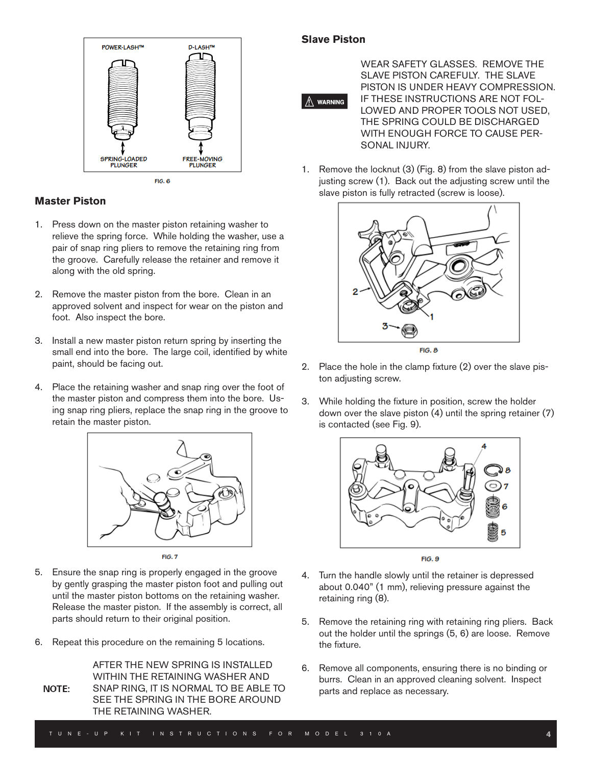

#### **Master Piston**

- 1. Press down on the master piston retaining washer to relieve the spring force. While holding the washer, use a pair of snap ring pliers to remove the retaining ring from the groove. Carefully release the retainer and remove it along with the old spring.
- 2. Remove the master piston from the bore. Clean in an approved solvent and inspect for wear on the piston and foot. Also inspect the bore.
- 3. Install a new master piston return spring by inserting the small end into the bore. The large coil, identified by white paint, should be facing out.
- 4. Place the retaining washer and snap ring over the foot of the master piston and compress them into the bore. Using snap ring pliers, replace the snap ring in the groove to retain the master piston.



- 5. Ensure the snap ring is properly engaged in the groove by gently grasping the master piston foot and pulling out until the master piston bottoms on the retaining washer. Release the master piston. If the assembly is correct, all parts should return to their original position.
- 6. Repeat this procedure on the remaining 5 locations.

AFTER THE NEW SPRING IS INSTALLED WITHIN THE RETAINING WASHER AND SNAP RING, IT IS NORMAL TO BE ABLE TO NOTE: SEE THE SPRING IN THE BORE AROUND THE RETAINING WASHER.

#### **Slave Piston**



WEAR SAFETY GLASSES. REMOVE THE SLAVE PISTON CAREFULY. THE SLAVE PISTON IS UNDER HEAVY COMPRESSION. IF THESE INSTRUCTIONS ARE NOT FOL-LOWED AND PROPER TOOLS NOT USED, THE SPRING COULD BE DISCHARGED WITH ENOUGH FORCE TO CAUSE PER-SONAL INJURY.

1. Remove the locknut (3) (Fig. 8) from the slave piston adjusting screw (1). Back out the adjusting screw until the slave piston is fully retracted (screw is loose).



- 2. Place the hole in the clamp fixture (2) over the slave piston adjusting screw.
- 3. While holding the fixture in position, screw the holder down over the slave piston (4) until the spring retainer (7) is contacted (see Fig. 9).



- 4. Turn the handle slowly until the retainer is depressed about 0.040" (1 mm), relieving pressure against the retaining ring (8).
- 5. Remove the retaining ring with retaining ring pliers. Back out the holder until the springs (5, 6) are loose. Remove the fixture.
- 6. Remove all components, ensuring there is no binding or burrs. Clean in an approved cleaning solvent. Inspect parts and replace as necessary.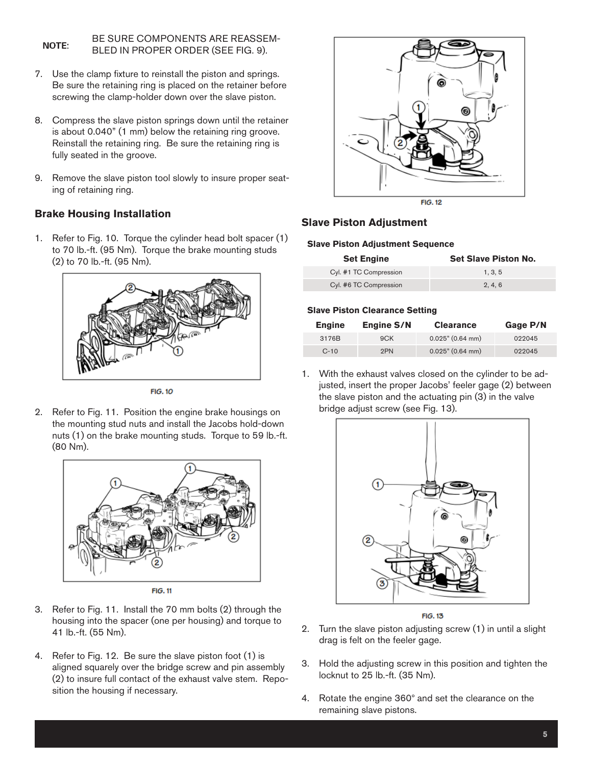#### BE SURE COMPONENTS ARE REASSEM-**NOTE:** BLED IN PROPER ORDER (SEE FIG. 9).

- 7. Use the clamp fixture to reinstall the piston and springs. Be sure the retaining ring is placed on the retainer before screwing the clamp-holder down over the slave piston.
- 8. Compress the slave piston springs down until the retainer is about 0.040" (1 mm) below the retaining ring groove. Reinstall the retaining ring. Be sure the retaining ring is fully seated in the groove.
- 9. Remove the slave piston tool slowly to insure proper seating of retaining ring.

#### **Brake Housing Installation**

1. Refer to Fig. 10. Torque the cylinder head bolt spacer (1) to 70 lb.-ft. (95 Nm). Torque the brake mounting studs (2) to 70 lb.-ft. (95 Nm).



**FIG. 10** 

2. Refer to Fig. 11. Position the engine brake housings on the mounting stud nuts and install the Jacobs hold-down nuts (1) on the brake mounting studs. Torque to 59 lb.-ft. (80 Nm).



**FIG. 11** 

- 3. Refer to Fig. 11. Install the 70 mm bolts (2) through the housing into the spacer (one per housing) and torque to 41 lb.-ft. (55 Nm).
- 4. Refer to Fig. 12. Be sure the slave piston foot (1) is aligned squarely over the bridge screw and pin assembly (2) to insure full contact of the exhaust valve stem. Reposition the housing if necessary.



#### **Slave Piston Adjustment**

#### **Slave Piston Adjustment Sequence**

| <b>Set Engine</b>      | <b>Set Slave Piston No.</b> |
|------------------------|-----------------------------|
| Cyl. #1 TC Compression | 1.3.5                       |
| Cyl. #6 TC Compression | 2, 4, 6                     |

#### **Slave Piston Clearance Setting**

| Engine | <b>Engine S/N</b> | <b>Clearance</b>    | Gage P/N |
|--------|-------------------|---------------------|----------|
| 3176B  | 9CK               | $0.025$ " (0.64 mm) | 022045   |
| $C-10$ | 2PN               | $0.025$ " (0.64 mm) | 022045   |

1. With the exhaust valves closed on the cylinder to be adjusted, insert the proper Jacobs' feeler gage (2) between the slave piston and the actuating pin (3) in the valve bridge adjust screw (see Fig. 13).





- 2. Turn the slave piston adjusting screw (1) in until a slight drag is felt on the feeler gage.
- 3. Hold the adjusting screw in this position and tighten the locknut to 25 lb.-ft. (35 Nm).
- 4. Rotate the engine 360° and set the clearance on the remaining slave pistons.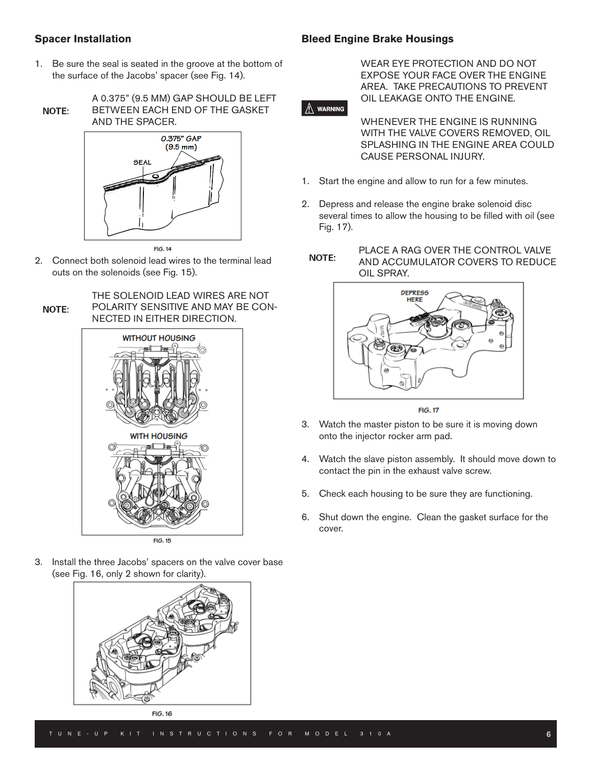#### **Spacer Installation**

#### **Bleed Engine Brake Housings**

1. Be sure the seal is seated in the groove at the bottom of the surface of the Jacobs' spacer (see Fig. 14).



A 0.375" (9.5 MM) GAP SHOULD BE LEFT BETWEEN EACH END OF THE GASKET AND THE SPACER.



2. Connect both solenoid lead wires to the terminal lead outs on the solenoids (see Fig. 15).

#### THE SOLENOID LEAD WIRES ARE NOT POLARITY SENSITIVE AND MAY BE CON-**NOTE:** NECTED IN EITHER DIRECTION.



FIG. 15

3. Install the three Jacobs' spacers on the valve cover base (see Fig. 16, only 2 shown for clarity).



**FIG. 16** 

WEAR EYE PROTECTION AND DO NOT EXPOSE YOUR FACE OVER THE ENGINE AREA. TAKE PRECAUTIONS TO PREVENT OIL LEAKAGE ONTO THE ENGINE.

#### $\wedge$  warning

WHENEVER THE ENGINE IS RUNNING WITH THE VALVE COVERS REMOVED, OIL SPLASHING IN THE ENGINE AREA COULD CAUSE PERSONAL INJURY.

- 1. Start the engine and allow to run for a few minutes.
- 2. Depress and release the engine brake solenoid disc several times to allow the housing to be filled with oil (see Fig. 17).





 $FIG. 17$ 

- 3. Watch the master piston to be sure it is moving down onto the injector rocker arm pad.
- 4. Watch the slave piston assembly. It should move down to contact the pin in the exhaust valve screw.
- 5. Check each housing to be sure they are functioning.
- 6. Shut down the engine. Clean the gasket surface for the cover.